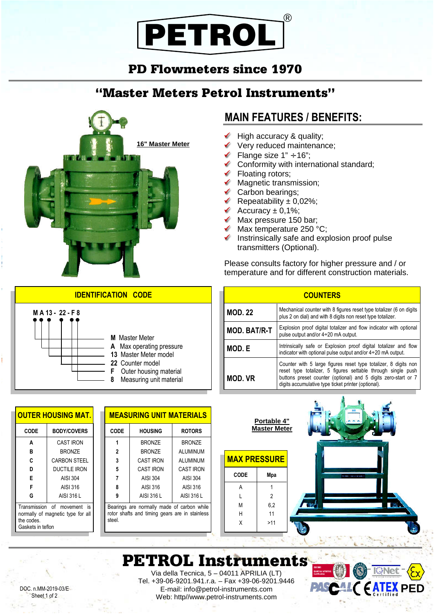## PETROL ®

### PD Flowmeters since 1970

### "Master Meters Petrol Instruments"



### **MAIN FEATURES / BENEFITS:**

- ✔ High accuracy & quality;
- Very reduced maintenance;
- Flange size  $1" \div 16"$ ;
- Conformity with international standard;
- **►** Floating rotors;
- $\checkmark$  Magnetic transmission;
- $\checkmark$  Carbon bearings;
- Repeatability  $\pm$  0,02%;
- Accuracy  $\pm$  0,1%;
- $\sqrt{\phantom{a}}$  Max pressure 150 bar:
- $\blacktriangleright$  Max temperature 250 °C;
- $\checkmark$  Instrinsically safe and explosion proof pulse transmitters (Optional).

Please consults factory for higher pressure and / or temperature and for different construction materials.

| <b>COUNTERS</b>                                                                                                                  |                                                                                                                                                                                                                                                          |  |  |  |  |  |  |  |
|----------------------------------------------------------------------------------------------------------------------------------|----------------------------------------------------------------------------------------------------------------------------------------------------------------------------------------------------------------------------------------------------------|--|--|--|--|--|--|--|
| <b>MOD. 22</b>                                                                                                                   | Mechanical counter with 8 figures reset type totalizer (6 on digits<br>plus 2 on dial) and with 8 digits non reset type totalizer.                                                                                                                       |  |  |  |  |  |  |  |
| Explosion proof digital totalizer and flow indicator with optional<br><b>MOD. BAT/R-T</b><br>pulse output and/or 4÷20 mA output. |                                                                                                                                                                                                                                                          |  |  |  |  |  |  |  |
| MOD. E                                                                                                                           | Intrinsically safe or Explosion proof digital totalizer and flow<br>indicator with optional pulse output and/or $4\div 20$ mA output.                                                                                                                    |  |  |  |  |  |  |  |
| <b>MOD. VR</b>                                                                                                                   | Counter with 5 large figures reset type totalizer, 8 digits non<br>reset type totalizer, 5 figures settable through single push<br>buttons preset counter (optional) and 5 digits zero-start or 7<br>digits accumulative type ticket printer (optional). |  |  |  |  |  |  |  |



### PETROL Instruments

DOC. n.MM-2019-03/E Sheet 1 of 2

**OUTER HOUSING MAT.**

**CODE BODY/COVERS**

Transmission of movement is normally of magnetic type for all

CAST IRON BRONZE CARBON STEEL DUCTILE IRON AISI 304 AISI 316 AISI 316 L

**A B C D E F G**

the codes. Gaskets in teflon

#### **IDENTIFICATION CODE**



| <b>MEASURING UNIT MATERIALS</b> |                  |                  |  |  |  |  |  |
|---------------------------------|------------------|------------------|--|--|--|--|--|
| CODE                            | <b>HOUSING</b>   | <b>ROTORS</b>    |  |  |  |  |  |
|                                 | <b>BRONZE</b>    | <b>BRONZE</b>    |  |  |  |  |  |
| 2                               | <b>BRONZE</b>    | ALUMINUM         |  |  |  |  |  |
| 3                               | <b>CAST IRON</b> | ALUMINUM         |  |  |  |  |  |
| 5                               | <b>CAST IRON</b> | <b>CAST IRON</b> |  |  |  |  |  |
|                                 | AISI 304         | <b>AISI 304</b>  |  |  |  |  |  |
| 8                               | AISI 316         | AISI 316         |  |  |  |  |  |
|                                 | AISI 316 L       | AISI 316 L       |  |  |  |  |  |

Bearings are normally made of carbon while rotor shafts and timing gears are in stainless steel.

# Via della Tecnica, 5 – 04011 APRILIA (LT)

Tel. +39-06-9201.941.r.a. – Fax +39-06-9201.9446 E-mail: info@petrol-instruments.com Web: http//www.petrol-instruments.com